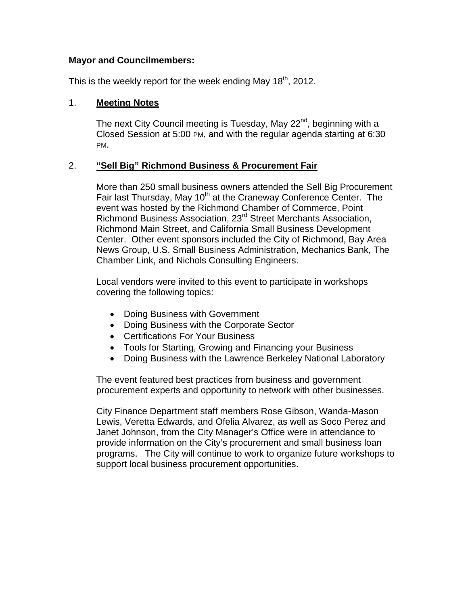## **Mayor and Councilmembers:**

This is the weekly report for the week ending May  $18<sup>th</sup>$ , 2012.

## 1. **Meeting Notes**

The next City Council meeting is Tuesday, May 22<sup>nd</sup>, beginning with a Closed Session at 5:00 PM, and with the regular agenda starting at 6:30 PM.

# 2. **"Sell Big" Richmond Business & Procurement Fair**

More than 250 small business owners attended the Sell Big Procurement Fair last Thursday, May 10<sup>th</sup> at the Craneway Conference Center. The event was hosted by the Richmond Chamber of Commerce, Point Richmond Business Association, 23rd Street Merchants Association, Richmond Main Street, and California Small Business Development Center. Other event sponsors included the City of Richmond, Bay Area News Group, U.S. Small Business Administration, Mechanics Bank, The Chamber Link, and Nichols Consulting Engineers.

Local vendors were invited to this event to participate in workshops covering the following topics:

- Doing Business with Government
- Doing Business with the Corporate Sector
- Certifications For Your Business
- Tools for Starting, Growing and Financing your Business
- Doing Business with the Lawrence Berkeley National Laboratory

The event featured best practices from business and government procurement experts and opportunity to network with other businesses.

City Finance Department staff members Rose Gibson, Wanda-Mason Lewis, Veretta Edwards, and Ofelia Alvarez, as well as Soco Perez and Janet Johnson, from the City Manager's Office were in attendance to provide information on the City's procurement and small business loan programs. The City will continue to work to organize future workshops to support local business procurement opportunities.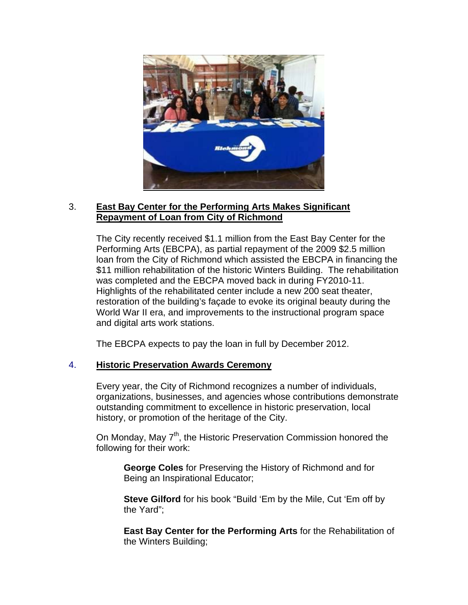

## 3. **East Bay Center for the Performing Arts Makes Significant Repayment of Loan from City of Richmond**

The City recently received \$1.1 million from the East Bay Center for the Performing Arts (EBCPA), as partial repayment of the 2009 \$2.5 million loan from the City of Richmond which assisted the EBCPA in financing the \$11 million rehabilitation of the historic Winters Building. The rehabilitation was completed and the EBCPA moved back in during FY2010-11. Highlights of the rehabilitated center include a new 200 seat theater, restoration of the building's façade to evoke its original beauty during the World War II era, and improvements to the instructional program space and digital arts work stations.

The EBCPA expects to pay the loan in full by December 2012.

## 4. **Historic Preservation Awards Ceremony**

Every year, the City of Richmond recognizes a number of individuals, organizations, businesses, and agencies whose contributions demonstrate outstanding commitment to excellence in historic preservation, local history, or promotion of the heritage of the City.

On Monday, May  $7<sup>th</sup>$ , the Historic Preservation Commission honored the following for their work:

**George Coles** for Preserving the History of Richmond and for Being an Inspirational Educator;

**Steve Gilford** for his book "Build 'Em by the Mile, Cut 'Em off by the Yard";

**East Bay Center for the Performing Arts** for the Rehabilitation of the Winters Building;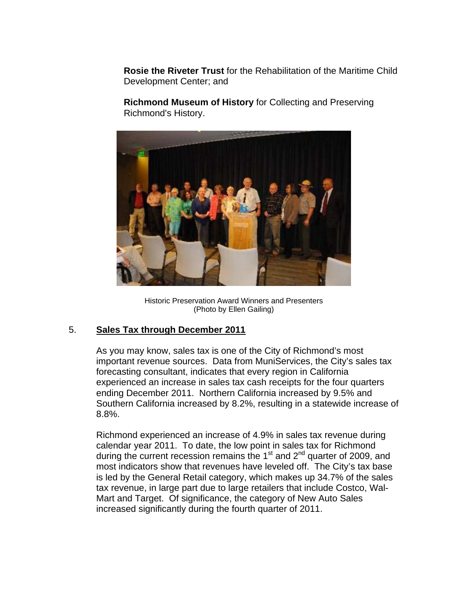**Rosie the Riveter Trust** for the Rehabilitation of the Maritime Child Development Center; and

**Richmond Museum of History** for Collecting and Preserving Richmond's History.



Historic Preservation Award Winners and Presenters (Photo by Ellen Gailing)

# 5. **Sales Tax through December 2011**

As you may know, sales tax is one of the City of Richmond's most important revenue sources. Data from MuniServices, the City's sales tax forecasting consultant, indicates that every region in California experienced an increase in sales tax cash receipts for the four quarters ending December 2011. Northern California increased by 9.5% and Southern California increased by 8.2%, resulting in a statewide increase of 8.8%.

Richmond experienced an increase of 4.9% in sales tax revenue during calendar year 2011. To date, the low point in sales tax for Richmond during the current recession remains the 1 $\mathrm{^{st}}$  and  $\mathrm{2^{nd}}$  quarter of 2009, and most indicators show that revenues have leveled off. The City's tax base is led by the General Retail category, which makes up 34.7% of the sales tax revenue, in large part due to large retailers that include Costco, Wal-Mart and Target. Of significance, the category of New Auto Sales increased significantly during the fourth quarter of 2011.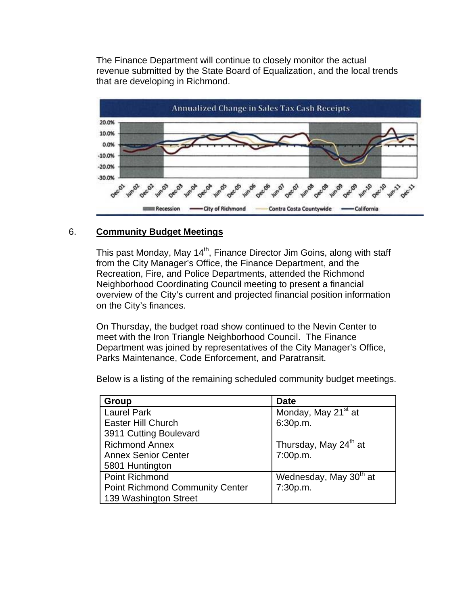The Finance Department will continue to closely monitor the actual revenue submitted by the State Board of Equalization, and the local trends that are developing in Richmond.



## 6. **Community Budget Meetings**

This past Monday, May 14<sup>th</sup>, Finance Director Jim Goins, along with staff from the City Manager's Office, the Finance Department, and the Recreation, Fire, and Police Departments, attended the Richmond Neighborhood Coordinating Council meeting to present a financial overview of the City's current and projected financial position information on the City's finances.

On Thursday, the budget road show continued to the Nevin Center to meet with the Iron Triangle Neighborhood Council. The Finance Department was joined by representatives of the City Manager's Office, Parks Maintenance, Code Enforcement, and Paratransit.

Below is a listing of the remaining scheduled community budget meetings.

| Group                                  | <b>Date</b>                        |
|----------------------------------------|------------------------------------|
| <b>Laurel Park</b>                     | Monday, May 21 <sup>st</sup> at    |
| <b>Easter Hill Church</b>              | 6:30p.m.                           |
| 3911 Cutting Boulevard                 |                                    |
| <b>Richmond Annex</b>                  | Thursday, May 24 <sup>th</sup> at  |
| <b>Annex Senior Center</b>             | 7:00p.m.                           |
| 5801 Huntington                        |                                    |
| <b>Point Richmond</b>                  | Wednesday, May 30 <sup>th</sup> at |
| <b>Point Richmond Community Center</b> | 7:30p.m.                           |
| 139 Washington Street                  |                                    |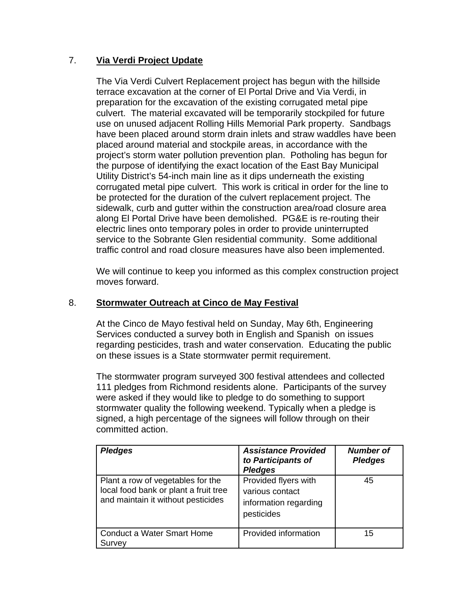# 7. **Via Verdi Project Update**

The Via Verdi Culvert Replacement project has begun with the hillside terrace excavation at the corner of El Portal Drive and Via Verdi, in preparation for the excavation of the existing corrugated metal pipe culvert. The material excavated will be temporarily stockpiled for future use on unused adjacent Rolling Hills Memorial Park property. Sandbags have been placed around storm drain inlets and straw waddles have been placed around material and stockpile areas, in accordance with the project's storm water pollution prevention plan. Potholing has begun for the purpose of identifying the exact location of the East Bay Municipal Utility District's 54-inch main line as it dips underneath the existing corrugated metal pipe culvert. This work is critical in order for the line to be protected for the duration of the culvert replacement project. The sidewalk, curb and gutter within the construction area/road closure area along El Portal Drive have been demolished. PG&E is re-routing their electric lines onto temporary poles in order to provide uninterrupted service to the Sobrante Glen residential community. Some additional traffic control and road closure measures have also been implemented.

We will continue to keep you informed as this complex construction project moves forward.

## 8. **Stormwater Outreach at Cinco de May Festival**

At the Cinco de Mayo festival held on Sunday, May 6th, Engineering Services conducted a survey both in English and Spanish on issues regarding pesticides, trash and water conservation. Educating the public on these issues is a State stormwater permit requirement.

The stormwater program surveyed 300 festival attendees and collected 111 pledges from Richmond residents alone. Participants of the survey were asked if they would like to pledge to do something to support stormwater quality the following weekend. Typically when a pledge is signed, a high percentage of the signees will follow through on their committed action.

| <b>Pledges</b>                                                                                                   | <b>Assistance Provided</b><br>to Participants of<br><b>Pledges</b>             | <b>Number of</b><br><b>Pledges</b> |
|------------------------------------------------------------------------------------------------------------------|--------------------------------------------------------------------------------|------------------------------------|
| Plant a row of vegetables for the<br>local food bank or plant a fruit tree<br>and maintain it without pesticides | Provided flyers with<br>various contact<br>information regarding<br>pesticides | 45                                 |
| <b>Conduct a Water Smart Home</b><br>Survey                                                                      | Provided information                                                           | 15                                 |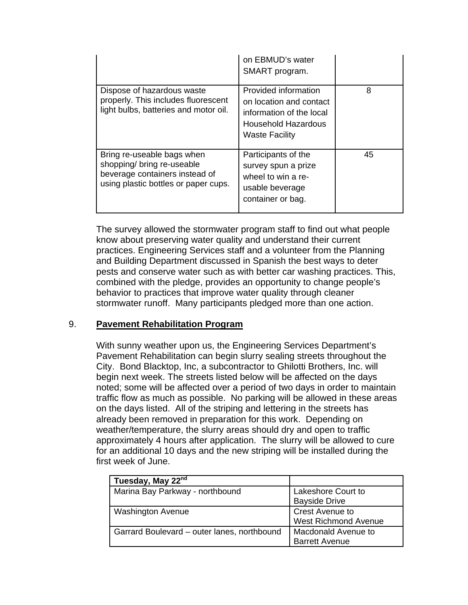|                                                                                                                                    | on EBMUD's water<br>SMART program.                                                                                                 |    |
|------------------------------------------------------------------------------------------------------------------------------------|------------------------------------------------------------------------------------------------------------------------------------|----|
| Dispose of hazardous waste<br>properly. This includes fluorescent<br>light bulbs, batteries and motor oil.                         | Provided information<br>on location and contact<br>information of the local<br><b>Household Hazardous</b><br><b>Waste Facility</b> | 8  |
| Bring re-useable bags when<br>shopping/ bring re-useable<br>beverage containers instead of<br>using plastic bottles or paper cups. | Participants of the<br>survey spun a prize<br>wheel to win a re-<br>usable beverage<br>container or bag.                           | 45 |

The survey allowed the stormwater program staff to find out what people know about preserving water quality and understand their current practices. Engineering Services staff and a volunteer from the Planning and Building Department discussed in Spanish the best ways to deter pests and conserve water such as with better car washing practices. This, combined with the pledge, provides an opportunity to change people's behavior to practices that improve water quality through cleaner stormwater runoff. Many participants pledged more than one action.

# 9. **Pavement Rehabilitation Program**

With sunny weather upon us, the Engineering Services Department's Pavement Rehabilitation can begin slurry sealing streets throughout the City. Bond Blacktop, Inc, a subcontractor to Ghilotti Brothers, Inc. will begin next week. The streets listed below will be affected on the days noted; some will be affected over a period of two days in order to maintain traffic flow as much as possible. No parking will be allowed in these areas on the days listed. All of the striping and lettering in the streets has already been removed in preparation for this work. Depending on weather/temperature, the slurry areas should dry and open to traffic approximately 4 hours after application. The slurry will be allowed to cure for an additional 10 days and the new striping will be installed during the first week of June.

| Tuesday, May 22 <sup>nd</sup>               |                                                       |
|---------------------------------------------|-------------------------------------------------------|
| Marina Bay Parkway - northbound             | Lakeshore Court to<br><b>Bayside Drive</b>            |
| <b>Washington Avenue</b>                    | <b>Crest Avenue to</b><br><b>West Richmond Avenue</b> |
| Garrard Boulevard - outer lanes, northbound | Macdonald Avenue to<br><b>Barrett Avenue</b>          |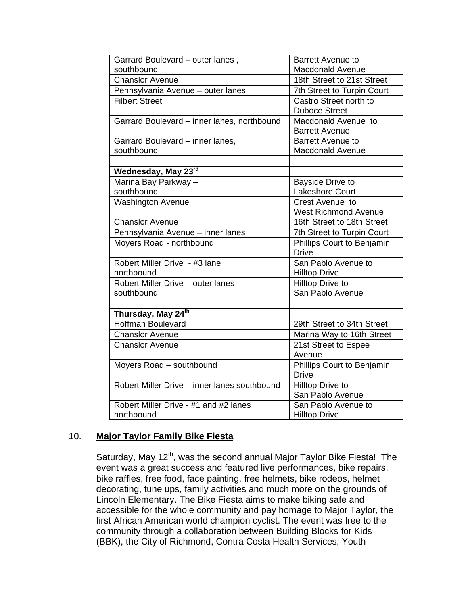| Garrard Boulevard - outer lanes,                    | <b>Barrett Avenue to</b>                    |  |
|-----------------------------------------------------|---------------------------------------------|--|
| southbound                                          | <b>Macdonald Avenue</b>                     |  |
| <b>Chanslor Avenue</b>                              | 18th Street to 21st Street                  |  |
| Pennsylvania Avenue - outer lanes                   | 7th Street to Turpin Court                  |  |
| <b>Filbert Street</b>                               | Castro Street north to                      |  |
|                                                     | <b>Duboce Street</b>                        |  |
| Garrard Boulevard - inner lanes, northbound         | Macdonald Avenue to                         |  |
|                                                     | <b>Barrett Avenue</b>                       |  |
| Garrard Boulevard - inner lanes,                    | <b>Barrett Avenue to</b>                    |  |
| southbound                                          | <b>Macdonald Avenue</b>                     |  |
|                                                     |                                             |  |
| Wednesday, May 23rd                                 |                                             |  |
| Marina Bay Parkway -                                | Bayside Drive to                            |  |
| southbound                                          | <b>Lakeshore Court</b>                      |  |
| <b>Washington Avenue</b>                            | Crest Avenue to                             |  |
|                                                     | <b>West Richmond Avenue</b>                 |  |
| <b>Chanslor Avenue</b>                              | 16th Street to 18th Street                  |  |
| Pennsylvania Avenue - inner lanes                   | 7th Street to Turpin Court                  |  |
| Moyers Road - northbound                            | Phillips Court to Benjamin                  |  |
|                                                     | <b>Drive</b>                                |  |
| Robert Miller Drive - #3 lane                       | San Pablo Avenue to                         |  |
| northbound                                          | <b>Hilltop Drive</b>                        |  |
| Robert Miller Drive - outer lanes                   | Hilltop Drive to                            |  |
| southbound                                          | San Pablo Avenue                            |  |
|                                                     |                                             |  |
| Thursday, May 24 <sup>th</sup>                      |                                             |  |
| <b>Hoffman Boulevard</b>                            | 29th Street to 34th Street                  |  |
| <b>Chanslor Avenue</b>                              | Marina Way to 16th Street                   |  |
| <b>Chanslor Avenue</b>                              | 21st Street to Espee                        |  |
|                                                     | Avenue                                      |  |
| Moyers Road - southbound                            | Phillips Court to Benjamin                  |  |
|                                                     | Drive                                       |  |
| Robert Miller Drive - inner lanes southbound        | Hilltop Drive to                            |  |
|                                                     | San Pablo Avenue                            |  |
|                                                     |                                             |  |
| Robert Miller Drive - #1 and #2 lanes<br>northbound | San Pablo Avenue to<br><b>Hilltop Drive</b> |  |

## 10. **Major Taylor Family Bike Fiesta**

Saturday, May 12<sup>th</sup>, was the second annual Major Taylor Bike Fiesta! The event was a great success and featured live performances, bike repairs, bike raffles, free food, face painting, free helmets, bike rodeos, helmet decorating, tune ups, family activities and much more on the grounds of Lincoln Elementary. The Bike Fiesta aims to make biking safe and accessible for the whole community and pay homage to Major Taylor, the first African American world champion cyclist. The event was free to the community through a collaboration between Building Blocks for Kids (BBK), the City of Richmond, Contra Costa Health Services, Youth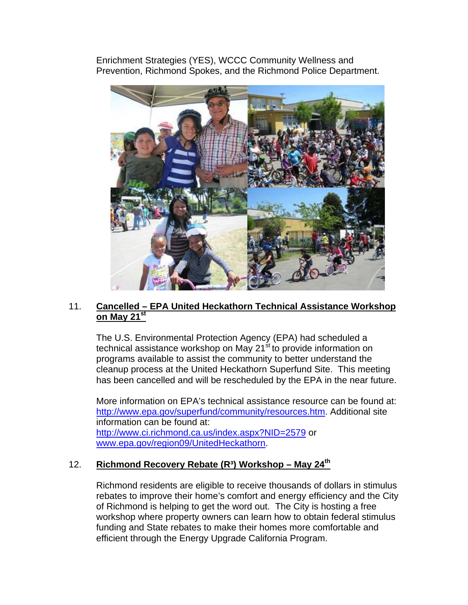Enrichment Strategies (YES), WCCC Community Wellness and Prevention, Richmond Spokes, and the Richmond Police Department.



## 11. **Cancelled – EPA United Heckathorn Technical Assistance Workshop on May 21st**

The U.S. Environmental Protection Agency (EPA) had scheduled a technical assistance workshop on May 21<sup>st</sup> to provide information on programs available to assist the community to better understand the cleanup process at the United Heckathorn Superfund Site. This meeting has been cancelled and will be rescheduled by the EPA in the near future.

More information on EPA's technical assistance resource can be found at: <http://www.epa.gov/superfund/community/resources.htm>. Additional site information can be found at: <http://www.ci.richmond.ca.us/index.aspx?NID=2579> or [www.epa.gov/region09/UnitedHeckathorn](http://www.epa.gov/region09/UnitedHeckathorn).

# 12. **Richmond Recovery Rebate (R³) Workshop – May 24th**

Richmond residents are eligible to receive thousands of dollars in stimulus rebates to improve their home's comfort and energy efficiency and the City of Richmond is helping to get the word out. The City is hosting a free workshop where property owners can learn how to obtain federal stimulus funding and State rebates to make their homes more comfortable and efficient through the Energy Upgrade California Program.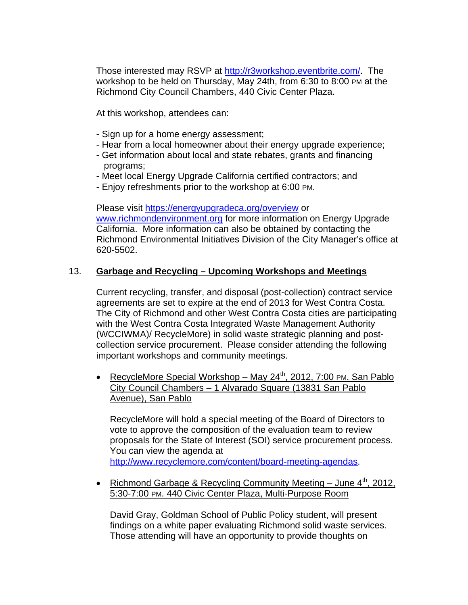Those interested may RSVP at<http://r3workshop.eventbrite.com/>. The workshop to be held on Thursday, May 24th, from 6:30 to 8:00 PM at the Richmond City Council Chambers, 440 Civic Center Plaza.

At this workshop, attendees can:

- Sign up for a home energy assessment;
- Hear from a local homeowner about their energy upgrade experience;
- Get information about local and state rebates, grants and financing programs;
- Meet local Energy Upgrade California certified contractors; and
- Enjoy refreshments prior to the workshop at 6:00 PM.

Please visit<https://energyupgradeca.org/overview>or [www.richmondenvironment.org](http://www.richmondenvironment.org/) for more information on Energy Upgrade California. More information can also be obtained by contacting the Richmond Environmental Initiatives Division of the City Manager's office at 620-5502.

## 13. **Garbage and Recycling – Upcoming Workshops and Meetings**

Current recycling, transfer, and disposal (post-collection) contract service agreements are set to expire at the end of 2013 for West Contra Costa. The City of Richmond and other West Contra Costa cities are participating with the West Contra Costa Integrated Waste Management Authority (WCCIWMA)/ RecycleMore) in solid waste strategic planning and postcollection service procurement. Please consider attending the following important workshops and community meetings.

• RecycleMore Special Workshop – May 24<sup>th</sup>, 2012, 7:00 PM, San Pablo City Council Chambers – 1 Alvarado Square (13831 San Pablo Avenue), San Pablo

RecycleMore will hold a special meeting of the Board of Directors to vote to approve the composition of the evaluation team to review proposals for the State of Interest (SOI) service procurement process. You can view the agenda at <http://www.recyclemore.com/content/board-meeting-agendas>.

• Richmond Garbage & Recycling Community Meeting – June  $4<sup>th</sup>$ , 2012, 5:30-7:00 PM. 440 Civic Center Plaza, Multi-Purpose Room

David Gray, Goldman School of Public Policy student, will present findings on a white paper evaluating Richmond solid waste services. Those attending will have an opportunity to provide thoughts on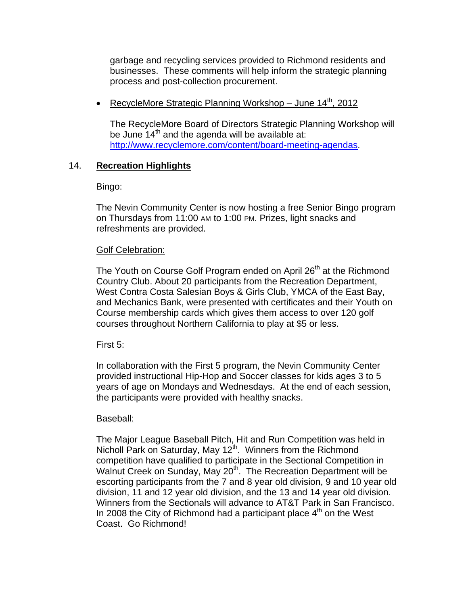garbage and recycling services provided to Richmond residents and businesses. These comments will help inform the strategic planning process and post-collection procurement.

• RecycleMore Strategic Planning Workshop - June 14<sup>th</sup>, 2012

The RecycleMore Board of Directors Strategic Planning Workshop will be June  $14<sup>th</sup>$  and the agenda will be available at: <http://www.recyclemore.com/content/board-meeting-agendas>.

# 14. **Recreation Highlights**

## Bingo:

The Nevin Community Center is now hosting a free Senior Bingo program on Thursdays from 11:00 AM to 1:00 PM. Prizes, light snacks and refreshments are provided.

## Golf Celebration:

The Youth on Course Golf Program ended on April 26<sup>th</sup> at the Richmond Country Club. About 20 participants from the Recreation Department, West Contra Costa Salesian Boys & Girls Club, YMCA of the East Bay, and Mechanics Bank, were presented with certificates and their Youth on Course membership cards which gives them access to over 120 golf courses throughout Northern California to play at \$5 or less.

## First 5:

In collaboration with the First 5 program, the Nevin Community Center provided instructional Hip-Hop and Soccer classes for kids ages 3 to 5 years of age on Mondays and Wednesdays. At the end of each session, the participants were provided with healthy snacks.

## Baseball:

The Major League Baseball Pitch, Hit and Run Competition was held in Nicholl Park on Saturday, May 12<sup>th</sup>. Winners from the Richmond competition have qualified to participate in the Sectional Competition in Walnut Creek on Sunday, May 20<sup>th</sup>. The Recreation Department will be escorting participants from the 7 and 8 year old division, 9 and 10 year old division, 11 and 12 year old division, and the 13 and 14 year old division. Winners from the Sectionals will advance to AT&T Park in San Francisco. In 2008 the City of Richmond had a participant place  $4<sup>th</sup>$  on the West Coast. Go Richmond!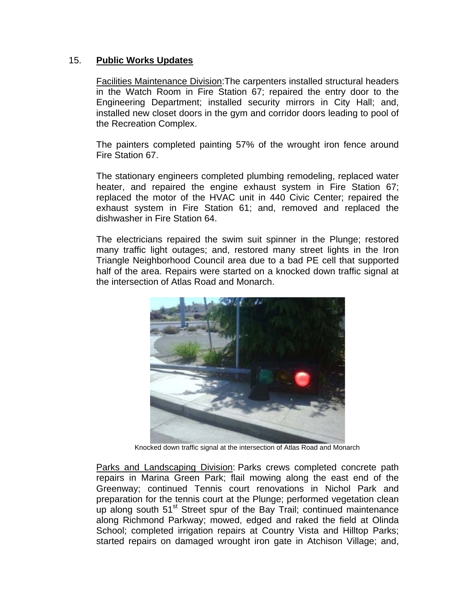## 15. **Public Works Updates**

Facilities Maintenance Division:The carpenters installed structural headers in the Watch Room in Fire Station 67; repaired the entry door to the Engineering Department; installed security mirrors in City Hall; and, installed new closet doors in the gym and corridor doors leading to pool of the Recreation Complex.

The painters completed painting 57% of the wrought iron fence around Fire Station 67.

The stationary engineers completed plumbing remodeling, replaced water heater, and repaired the engine exhaust system in Fire Station 67; replaced the motor of the HVAC unit in 440 Civic Center; repaired the exhaust system in Fire Station 61; and, removed and replaced the dishwasher in Fire Station 64.

The electricians repaired the swim suit spinner in the Plunge; restored many traffic light outages; and, restored many street lights in the Iron Triangle Neighborhood Council area due to a bad PE cell that supported half of the area. Repairs were started on a knocked down traffic signal at the intersection of Atlas Road and Monarch.



Knocked down traffic signal at the intersection of Atlas Road and Monarch

Parks and Landscaping Division: Parks crews completed concrete path repairs in Marina Green Park; flail mowing along the east end of the Greenway; continued Tennis court renovations in Nichol Park and preparation for the tennis court at the Plunge; performed vegetation clean up along south 51<sup>st</sup> Street spur of the Bay Trail; continued maintenance along Richmond Parkway; mowed, edged and raked the field at Olinda School; completed irrigation repairs at Country Vista and Hilltop Parks; started repairs on damaged wrought iron gate in Atchison Village; and,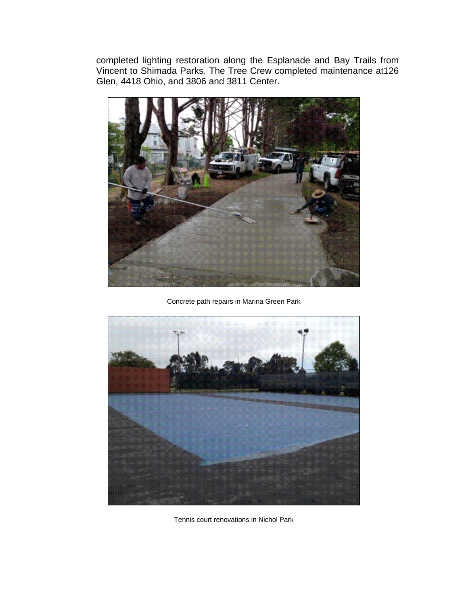completed lighting restoration along the Esplanade and Bay Trails from Vincent to Shimada Parks. The Tree Crew completed maintenance at126 Glen, 4418 Ohio, and 3806 and 3811 Center.



Concrete path repairs in Marina Green Park



Tennis court renovations in Nichol Park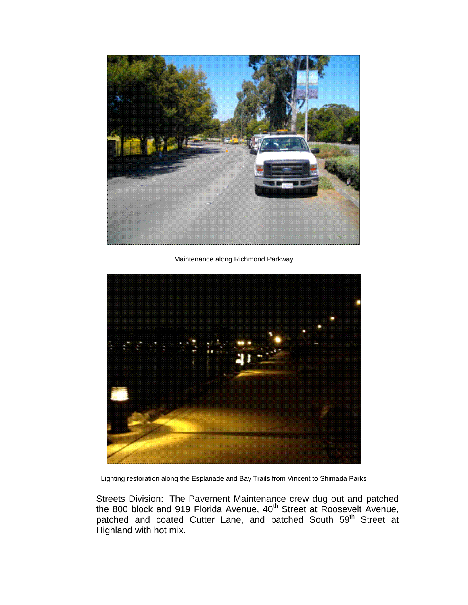

Maintenance along Richmond Parkway



Lighting restoration along the Esplanade and Bay Trails from Vincent to Shimada Parks

Streets Division: The Pavement Maintenance crew dug out and patched the 800 block and 919 Florida Avenue, 40<sup>th</sup> Street at Roosevelt Avenue, patched and coated Cutter Lane, and patched South 59<sup>th</sup> Street at Highland with hot mix.